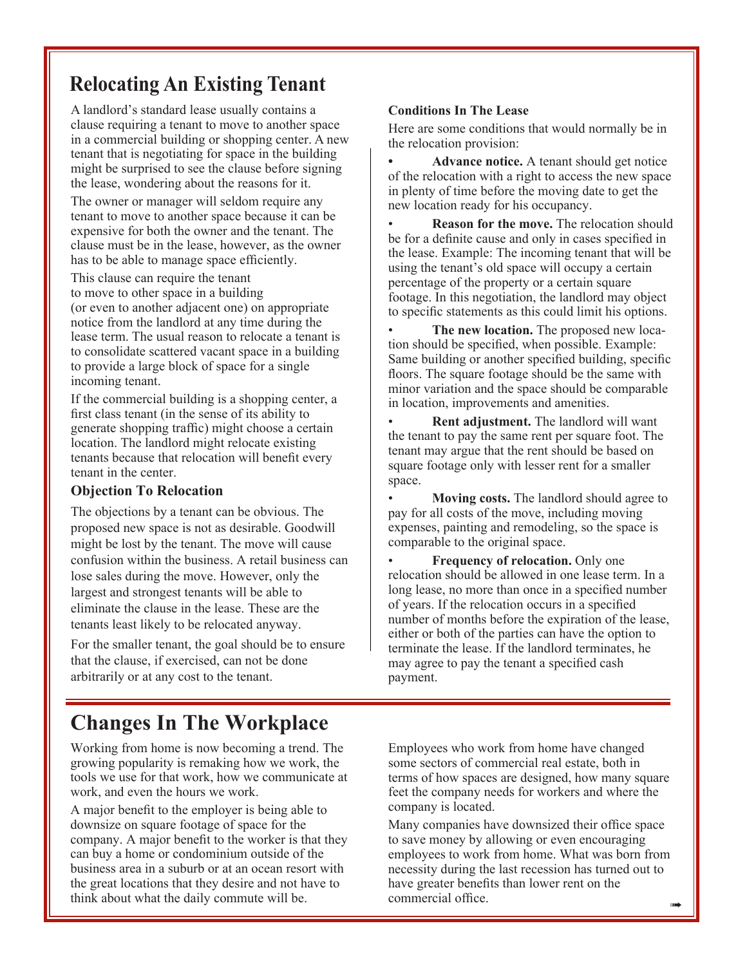## **Relocating An Existing Tenant**

A landlord's standard lease usually contains a clause requiring a tenant to move to another space in a commercial building or shopping center. A new tenant that is negotiating for space in the building might be surprised to see the clause before signing the lease, wondering about the reasons for it.

The owner or manager will seldom require any tenant to move to another space because it can be expensive for both the owner and the tenant. The clause must be in the lease, however, as the owner has to be able to manage space efficiently.

This clause can require the tenant to move to other space in a building (or even to another adjacent one) on appropriate notice from the landlord at any time during the lease term. The usual reason to relocate a tenant is to consolidate scattered vacant space in a building to provide a large block of space for a single incoming tenant.

If the commercial building is a shopping center, a first class tenant (in the sense of its ability to generate shopping traffic) might choose a certain location. The landlord might relocate existing tenants because that relocation will benefit every tenant in the center.

#### **Objection To Relocation**

The objections by a tenant can be obvious. The proposed new space is not as desirable. Goodwill might be lost by the tenant. The move will cause confusion within the business. A retail business can lose sales during the move. However, only the largest and strongest tenants will be able to eliminate the clause in the lease. These are the tenants least likely to be relocated anyway.

For the smaller tenant, the goal should be to ensure that the clause, if exercised, can not be done arbitrarily or at any cost to the tenant.

#### **Conditions In The Lease**

Here are some conditions that would normally be in the relocation provision:

**• Advance notice.** A tenant should get notice of the relocation with a right to access the new space in plenty of time before the moving date to get the new location ready for his occupancy.

• **Reason for the move.** The relocation should be for a definite cause and only in cases specified in the lease. Example: The incoming tenant that will be using the tenant's old space will occupy a certain percentage of the property or a certain square footage. In this negotiation, the landlord may object to specific statements as this could limit his options.

**The new location.** The proposed new location should be specified, when possible. Example: Same building or another specified building, specific floors. The square footage should be the same with minor variation and the space should be comparable in location, improvements and amenities.

• **Rent adjustment.** The landlord will want the tenant to pay the same rent per square foot. The tenant may argue that the rent should be based on square footage only with lesser rent for a smaller space.

• **Moving costs.** The landlord should agree to pay for all costs of the move, including moving expenses, painting and remodeling, so the space is comparable to the original space.

**Frequency of relocation.** Only one relocation should be allowed in one lease term. In a long lease, no more than once in a specified number of years. If the relocation occurs in a specified number of months before the expiration of the lease, either or both of the parties can have the option to terminate the lease. If the landlord terminates, he may agree to pay the tenant a specified cash payment.

## **Changes In The Workplace**

Working from home is now becoming a trend. The growing popularity is remaking how we work, the tools we use for that work, how we communicate at work, and even the hours we work.

A major benefit to the employer is being able to downsize on square footage of space for the company. A major benefit to the worker is that they can buy a home or condominium outside of the business area in a suburb or at an ocean resort with the great locations that they desire and not have to think about what the daily commute will be.

Employees who work from home have changed some sectors of commercial real estate, both in terms of how spaces are designed, how many square feet the company needs for workers and where the company is located.

 $\rightarrow$ Many companies have downsized their office space to save money by allowing or even encouraging employees to work from home. What was born from necessity during the last recession has turned out to have greater benefits than lower rent on the commercial office.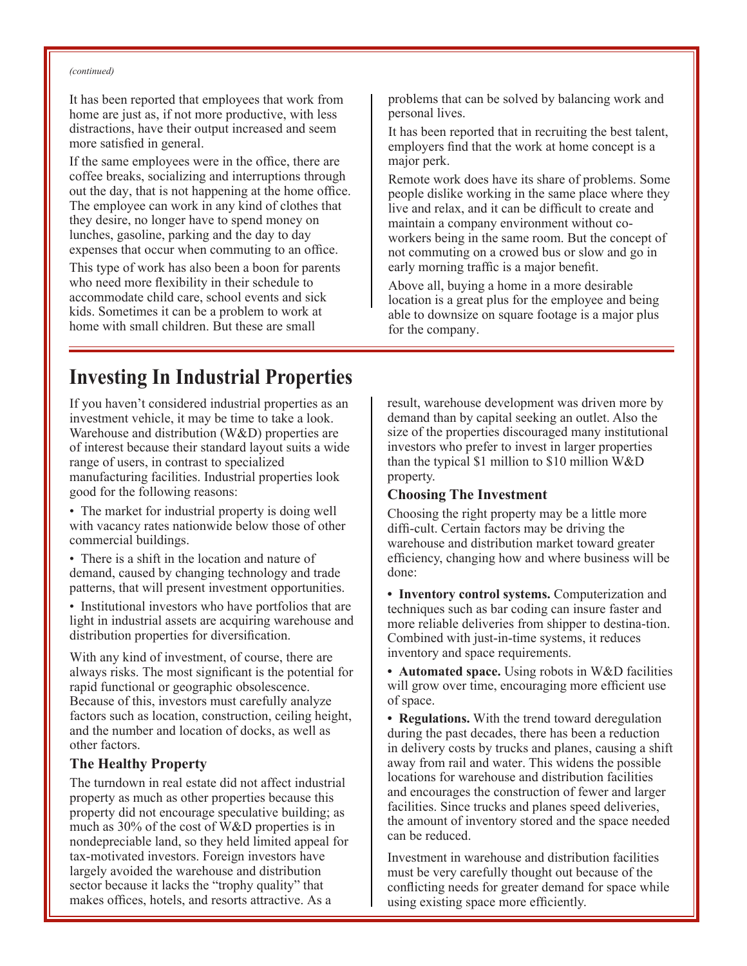#### *(continued)*

It has been reported that employees that work from home are just as, if not more productive, with less distractions, have their output increased and seem more satisfied in general.

If the same employees were in the office, there are coffee breaks, socializing and interruptions through out the day, that is not happening at the home office. The employee can work in any kind of clothes that they desire, no longer have to spend money on lunches, gasoline, parking and the day to day expenses that occur when commuting to an office.

This type of work has also been a boon for parents who need more flexibility in their schedule to accommodate child care, school events and sick kids. Sometimes it can be a problem to work at home with small children. But these are small

## **Investing In Industrial Properties**

If you haven't considered industrial properties as an investment vehicle, it may be time to take a look. Warehouse and distribution (W&D) properties are of interest because their standard layout suits a wide range of users, in contrast to specialized manufacturing facilities. Industrial properties look good for the following reasons:

• The market for industrial property is doing well with vacancy rates nationwide below those of other commercial buildings.

- There is a shift in the location and nature of demand, caused by changing technology and trade patterns, that will present investment opportunities.
- Institutional investors who have portfolios that are light in industrial assets are acquiring warehouse and distribution properties for diversification.

With any kind of investment, of course, there are always risks. The most significant is the potential for rapid functional or geographic obsolescence. Because of this, investors must carefully analyze factors such as location, construction, ceiling height, and the number and location of docks, as well as other factors.

#### **The Healthy Property**

The turndown in real estate did not affect industrial property as much as other properties because this property did not encourage speculative building; as much as 30% of the cost of W&D properties is in nondepreciable land, so they held limited appeal for tax-motivated investors. Foreign investors have largely avoided the warehouse and distribution sector because it lacks the "trophy quality" that makes offices, hotels, and resorts attractive. As a

problems that can be solved by balancing work and personal lives.

It has been reported that in recruiting the best talent, employers find that the work at home concept is a major perk.

Remote work does have its share of problems. Some people dislike working in the same place where they live and relax, and it can be difficult to create and maintain a company environment without coworkers being in the same room. But the concept of not commuting on a crowed bus or slow and go in early morning traffic is a major benefit.

Above all, buying a home in a more desirable location is a great plus for the employee and being able to downsize on square footage is a major plus for the company.

result, warehouse development was driven more by demand than by capital seeking an outlet. Also the size of the properties discouraged many institutional investors who prefer to invest in larger properties than the typical \$1 million to \$10 million W&D property.

#### **Choosing The Investment**

Choosing the right property may be a little more diffi-cult. Certain factors may be driving the warehouse and distribution market toward greater efficiency, changing how and where business will be done:

• **Inventory control systems.** Computerization and techniques such as bar coding can insure faster and more reliable deliveries from shipper to destina-tion. Combined with just-in-time systems, it reduces inventory and space requirements.

• **Automated space.** Using robots in W&D facilities will grow over time, encouraging more efficient use of space.

**• Regulations.** With the trend toward deregulation during the past decades, there has been a reduction in delivery costs by trucks and planes, causing a shift away from rail and water. This widens the possible locations for warehouse and distribution facilities and encourages the construction of fewer and larger facilities. Since trucks and planes speed deliveries, the amount of inventory stored and the space needed can be reduced.

Investment in warehouse and distribution facilities must be very carefully thought out because of the conflicting needs for greater demand for space while using existing space more efficiently.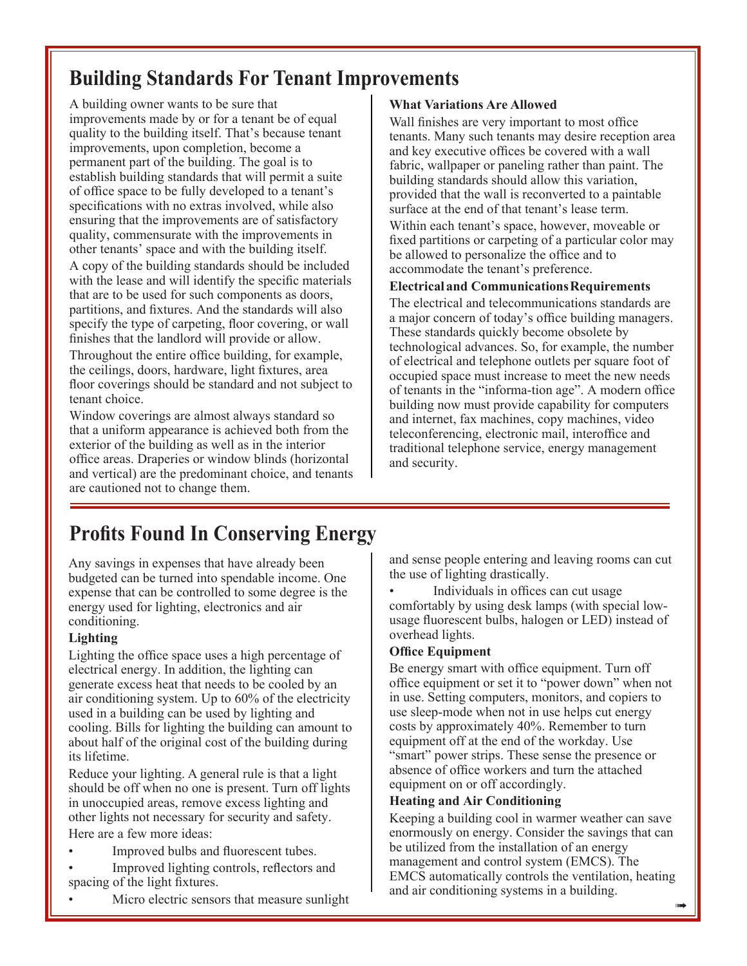# **Building Standards For Tenant Improvements**

A building owner wants to be sure that improvements made by or for a tenant be of equal quality to the building itself. That's because tenant improvements, upon completion, become a permanent part of the building. The goal is to establish building standards that will permit a suite of office space to be fully developed to a tenant's specifications with no extras involved, while also ensuring that the improvements are of satisfactory quality, commensurate with the improvements in other tenants' space and with the building itself.

A copy of the building standards should be included with the lease and will identify the specific materials that are to be used for such components as doors, partitions, and fixtures. And the standards will also specify the type of carpeting, floor covering, or wall finishes that the landlord will provide or allow. Throughout the entire office building, for example, the ceilings, doors, hardware, light fixtures, area floor coverings should be standard and not subject to tenant choice.

Window coverings are almost always standard so that a uniform appearance is achieved both from the exterior of the building as well as in the interior office areas. Draperies or window blinds (horizontal and vertical) are the predominant choice, and tenants are cautioned not to change them.

#### **What Variations Are Allowed**

Wall finishes are very important to most office tenants. Many such tenants may desire reception area and key executive offices be covered with a wall fabric, wallpaper or paneling rather than paint. The building standards should allow this variation, provided that the wall is reconverted to a paintable surface at the end of that tenant's lease term.

Within each tenant's space, however, moveable or fixed partitions or carpeting of a particular color may be allowed to personalize the office and to accommodate the tenant's preference.

#### Electrical and Communications Requirements

The electrical and telecommunications standards are a major concern of today's office building managers. These standards quickly become obsolete by technological advances. So, for example, the number of electrical and telephone outlets per square foot of occupied space must increase to meet the new needs of tenants in the "informa-tion age". A modern office building now must provide capability for computers and internet, fax machines, copy machines, video teleconferencing, electronic mail, interoffice and traditional telephone service, energy management and security.

# **Profits Found In Conserving Energy**

Any savings in expenses that have already been budgeted can be turned into spendable income. One expense that can be controlled to some degree is the energy used for lighting, electronics and air conditioning.

## **Lighting**

Lighting the office space uses a high percentage of electrical energy. In addition, the lighting can generate excess heat that needs to be cooled by an air conditioning system. Up to 60% of the electricity used in a building can be used by lighting and cooling. Bills for lighting the building can amount to about half of the original cost of the building during its lifetime.

Reduce your lighting. A general rule is that a light should be off when no one is present. Turn off lights in unoccupied areas, remove excess lighting and other lights not necessary for security and safety.

Here are a few more ideas:

- Improved bulbs and fluorescent tubes.
- Improved lighting controls, reflectors and spacing of the light fixtures.
- Micro electric sensors that measure sunlight

and sense people entering and leaving rooms can cut the use of lighting drastically.

Individuals in offices can cut usage comfortably by using desk lamps (with special lowusage fluorescent bulbs, halogen or LED) instead of overhead lights.

## **Office Equipment**

Be energy smart with office equipment. Turn off office equipment or set it to "power down" when not in use. Setting computers, monitors, and copiers to use sleep-mode when not in use helps cut energy costs by approximately 40%. Remember to turn equipment off at the end of the workday. Use "smart" power strips. These sense the presence or absence of office workers and turn the attached equipment on or off accordingly.

## **Heating and Air Conditioning**

Keeping a building cool in warmer weather can save enormously on energy. Consider the savings that can be utilized from the installation of an energy management and control system (EMCS). The EMCS automatically controls the ventilation, heating and air conditioning systems in a building.

 $\rightarrow$